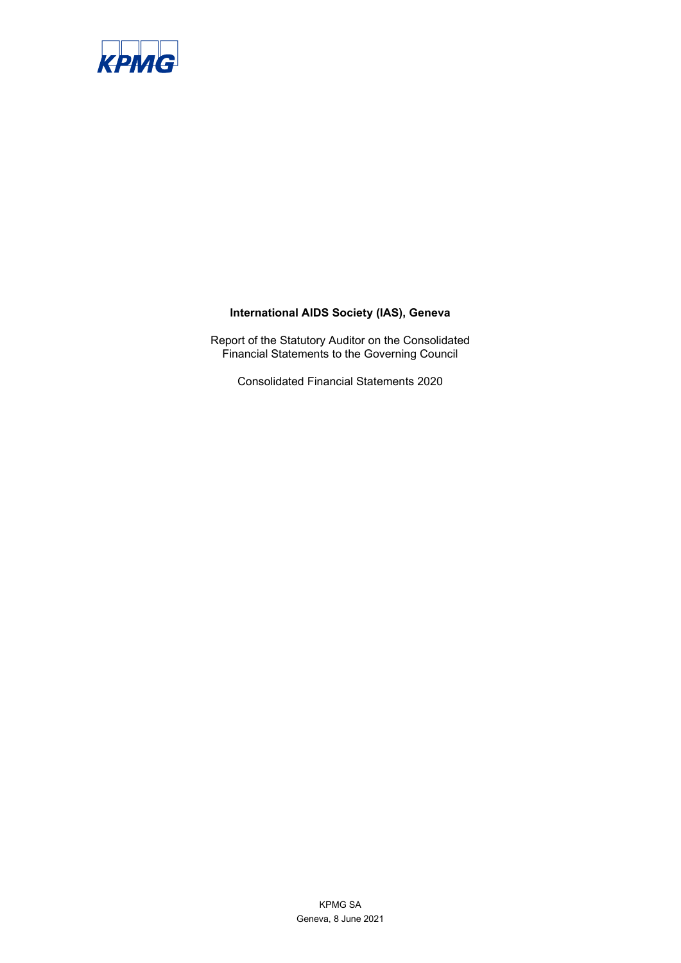

# **International AIDS Society (IAS), Geneva**

Report of the Statutory Auditor on the Consolidated Financial Statements to the Governing Council

Consolidated Financial Statements 2020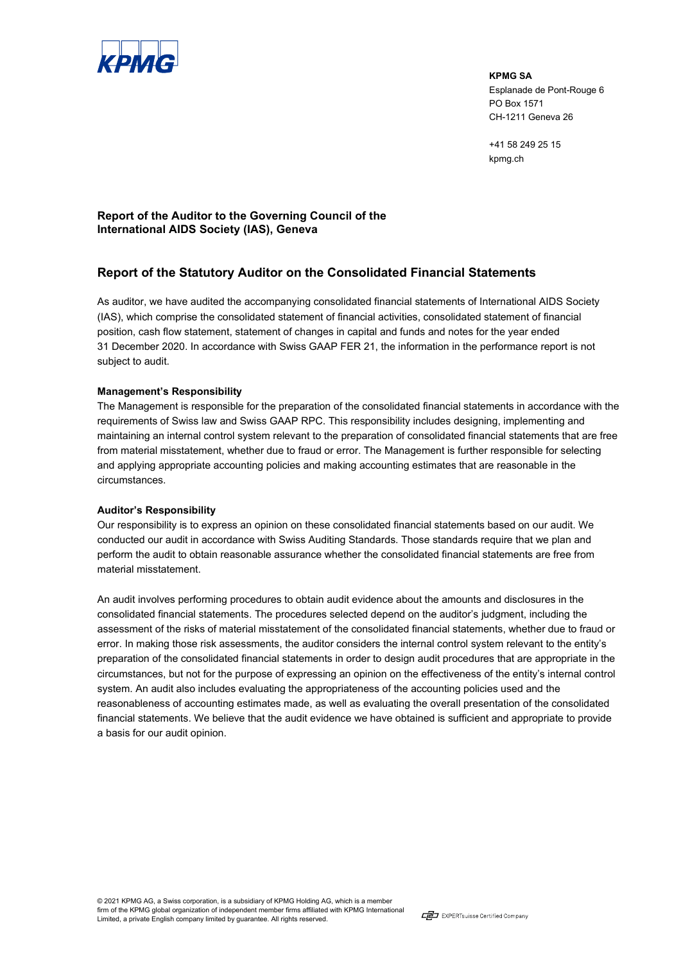

**KPMG SA** Esplanade de Pont-Rouge 6 PO Box 1571 CH-1211 Geneva 26

+41 58 249 25 15 kpmg.ch

## **Report of the Auditor to the Governing Council of the International AIDS Society (IAS), Geneva**

# **Report of the Statutory Auditor on the Consolidated Financial Statements**

As auditor, we have audited the accompanying consolidated financial statements of International AIDS Society (IAS), which comprise the consolidated statement of financial activities, consolidated statement of financial position, cash flow statement, statement of changes in capital and funds and notes for the year ended 31 December 2020. In accordance with Swiss GAAP FER 21, the information in the performance report is not subject to audit.

#### **Management's Responsibility**

The Management is responsible for the preparation of the consolidated financial statements in accordance with the requirements of Swiss law and Swiss GAAP RPC. This responsibility includes designing, implementing and maintaining an internal control system relevant to the preparation of consolidated financial statements that are free from material misstatement, whether due to fraud or error. The Management is further responsible for selecting and applying appropriate accounting policies and making accounting estimates that are reasonable in the circumstances.

#### **Auditor's Responsibility**

Our responsibility is to express an opinion on these consolidated financial statements based on our audit. We conducted our audit in accordance with Swiss Auditing Standards. Those standards require that we plan and perform the audit to obtain reasonable assurance whether the consolidated financial statements are free from material misstatement.

An audit involves performing procedures to obtain audit evidence about the amounts and disclosures in the consolidated financial statements. The procedures selected depend on the auditor's judgment, including the assessment of the risks of material misstatement of the consolidated financial statements, whether due to fraud or error. In making those risk assessments, the auditor considers the internal control system relevant to the entity's preparation of the consolidated financial statements in order to design audit procedures that are appropriate in the circumstances, but not for the purpose of expressing an opinion on the effectiveness of the entity's internal control system. An audit also includes evaluating the appropriateness of the accounting policies used and the reasonableness of accounting estimates made, as well as evaluating the overall presentation of the consolidated financial statements. We believe that the audit evidence we have obtained is sufficient and appropriate to provide a basis for our audit opinion.

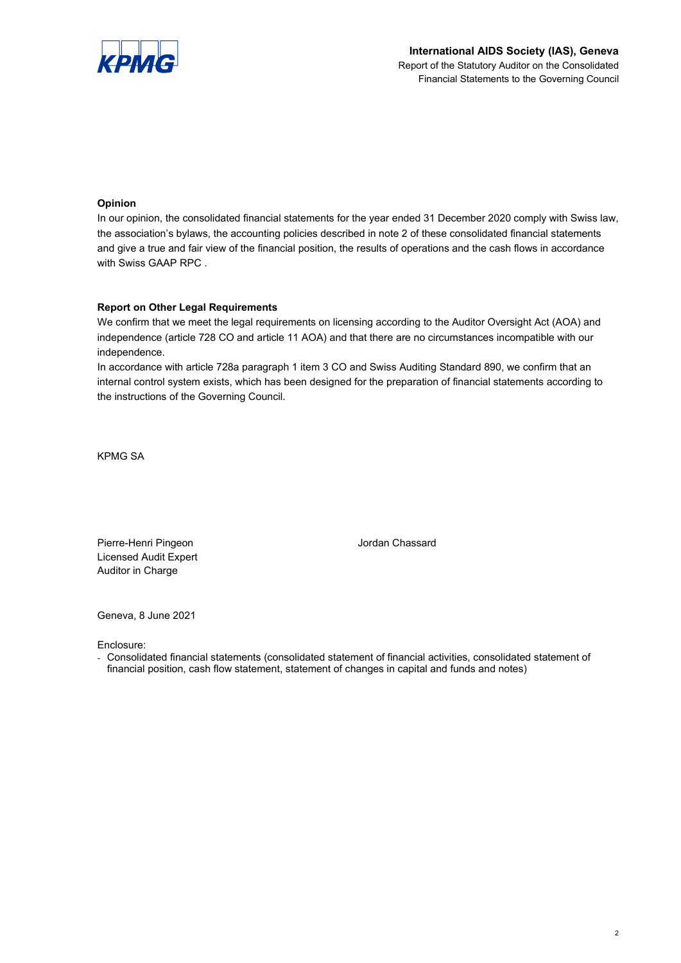

#### **Opinion**

In our opinion, the consolidated financial statements for the year ended 31 December 2020 comply with Swiss law, the association's bylaws, the accounting policies described in note 2 of these consolidated financial statements and give a true and fair view of the financial position, the results of operations and the cash flows in accordance with Swiss GAAP RPC .

#### **Report on Other Legal Requirements**

We confirm that we meet the legal requirements on licensing according to the Auditor Oversight Act (AOA) and independence (article 728 CO and article 11 AOA) and that there are no circumstances incompatible with our independence.

In accordance with article 728a paragraph 1 item 3 CO and Swiss Auditing Standard 890, we confirm that an internal control system exists, which has been designed for the preparation of financial statements according to the instructions of the Governing Council.

KPMG SA

Pierre-Henri Pingeon and The Terre-Henri Pingeon and The Terre and The Jordan Chassard Licensed Audit Expert Auditor in Charge

Geneva, 8 June 2021

Enclosure:

- Consolidated financial statements (consolidated statement of financial activities, consolidated statement of financial position, cash flow statement, statement of changes in capital and funds and notes)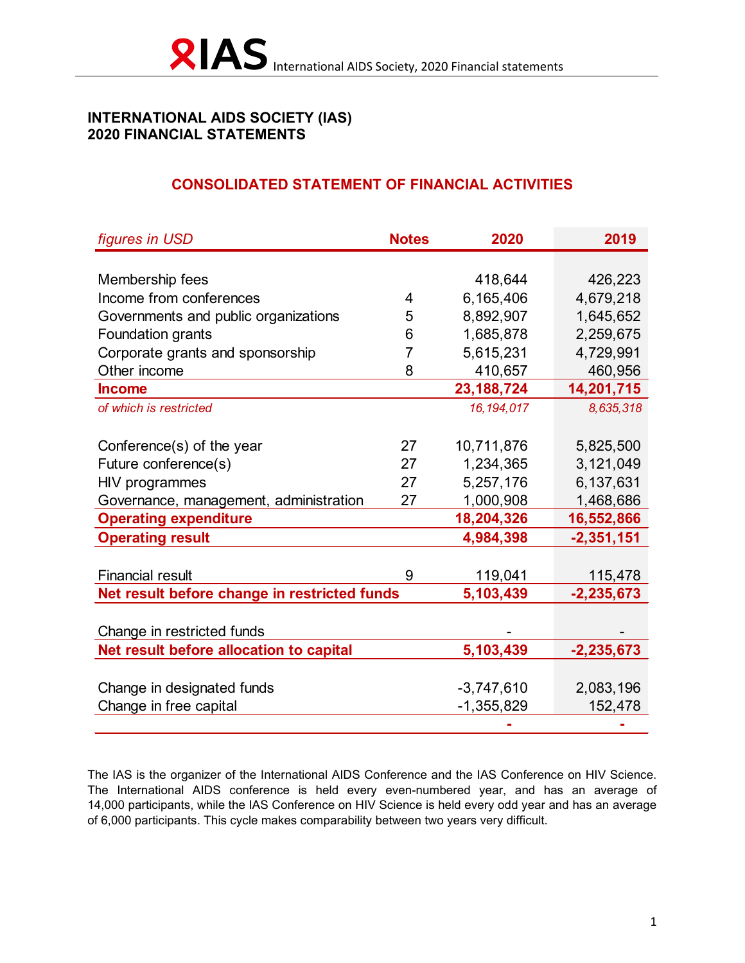# **INTERNATIONAL AIDS SOCIETY (IAS) 2020 FINANCIAL STATEMENTS**

# **CONSOLIDATED STATEMENT OF FINANCIAL ACTIVITIES**

| figures in USD                               | <b>Notes</b> | 2020         | 2019         |
|----------------------------------------------|--------------|--------------|--------------|
|                                              |              |              |              |
| Membership fees                              |              | 418,644      | 426,223      |
| Income from conferences                      | 4            | 6,165,406    | 4,679,218    |
| Governments and public organizations         | 5            | 8,892,907    | 1,645,652    |
| Foundation grants                            | 6            | 1,685,878    | 2,259,675    |
| Corporate grants and sponsorship             | 7            | 5,615,231    | 4,729,991    |
| Other income                                 | 8            | 410,657      | 460,956      |
| <b>Income</b>                                |              | 23, 188, 724 | 14,201,715   |
| of which is restricted                       |              | 16, 194, 017 | 8,635,318    |
|                                              |              |              |              |
| Conference(s) of the year                    | 27           | 10,711,876   | 5,825,500    |
| Future conference(s)                         | 27           | 1,234,365    | 3,121,049    |
| HIV programmes                               | 27           | 5,257,176    | 6,137,631    |
| Governance, management, administration       | 27           | 1,000,908    | 1,468,686    |
| <b>Operating expenditure</b>                 |              | 18,204,326   | 16,552,866   |
| <b>Operating result</b>                      |              | 4,984,398    | $-2,351,151$ |
|                                              |              |              |              |
| <b>Financial result</b>                      | 9            | 119,041      | 115,478      |
| Net result before change in restricted funds |              | 5,103,439    | $-2,235,673$ |
|                                              |              |              |              |
| Change in restricted funds                   |              |              |              |
| Net result before allocation to capital      |              | 5,103,439    | $-2,235,673$ |
|                                              |              |              |              |
| Change in designated funds                   |              | $-3,747,610$ | 2,083,196    |
| Change in free capital                       |              | $-1,355,829$ | 152,478      |
|                                              |              |              |              |

The IAS is the organizer of the International AIDS Conference and the IAS Conference on HIV Science. The International AIDS conference is held every even-numbered year, and has an average of 14,000 participants, while the IAS Conference on HIV Science is held every odd year and has an average of 6,000 participants. This cycle makes comparability between two years very difficult.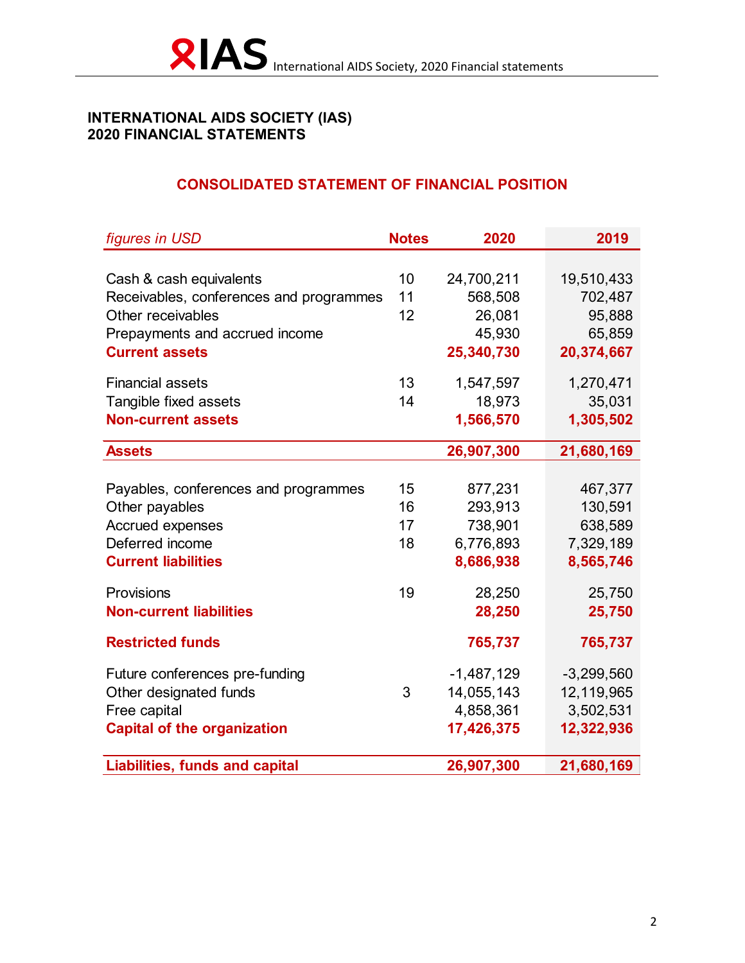# **INTERNATIONAL AIDS SOCIETY (IAS) 2020 FINANCIAL STATEMENTS**

# **CONSOLIDATED STATEMENT OF FINANCIAL POSITION**

| figures in USD                          | <b>Notes</b> | 2020         | 2019         |
|-----------------------------------------|--------------|--------------|--------------|
|                                         |              |              |              |
| Cash & cash equivalents                 | 10           | 24,700,211   | 19,510,433   |
| Receivables, conferences and programmes | 11           | 568,508      | 702,487      |
| Other receivables                       | 12           | 26,081       | 95,888       |
| Prepayments and accrued income          |              | 45,930       | 65,859       |
| <b>Current assets</b>                   |              | 25,340,730   | 20,374,667   |
| <b>Financial assets</b>                 | 13           | 1,547,597    | 1,270,471    |
| Tangible fixed assets                   | 14           | 18,973       | 35,031       |
| <b>Non-current assets</b>               |              | 1,566,570    | 1,305,502    |
| <b>Assets</b>                           |              | 26,907,300   | 21,680,169   |
|                                         |              |              |              |
| Payables, conferences and programmes    | 15           | 877,231      | 467,377      |
| Other payables                          | 16           | 293,913      | 130,591      |
| Accrued expenses                        | 17           | 738,901      | 638,589      |
| Deferred income                         | 18           | 6,776,893    | 7,329,189    |
| <b>Current liabilities</b>              |              | 8,686,938    | 8,565,746    |
| Provisions                              | 19           | 28,250       | 25,750       |
| <b>Non-current liabilities</b>          |              | 28,250       | 25,750       |
| <b>Restricted funds</b>                 |              | 765,737      | 765,737      |
| Future conferences pre-funding          |              | $-1,487,129$ | $-3,299,560$ |
| Other designated funds                  | 3            | 14,055,143   | 12,119,965   |
| Free capital                            |              | 4,858,361    | 3,502,531    |
| <b>Capital of the organization</b>      |              | 17,426,375   | 12,322,936   |
| <b>Liabilities, funds and capital</b>   |              | 26,907,300   | 21,680,169   |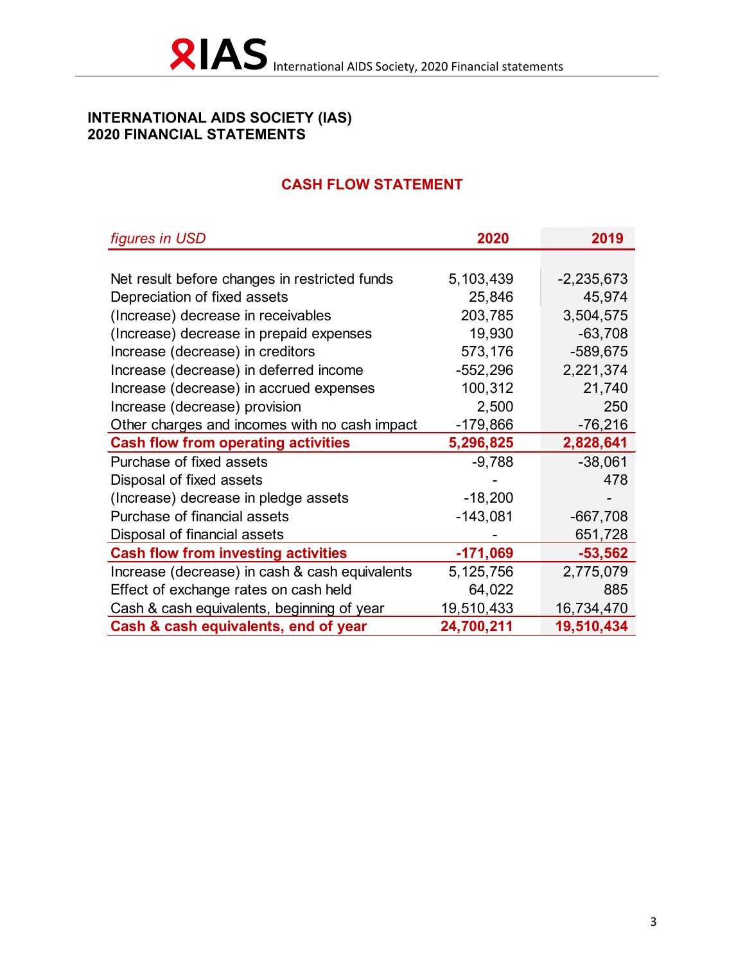# **INTERNATIONAL AIDS SOCIETY (IAS) 2020 FINANCIAL STATEMENTS**

# **CASH FLOW STATEMENT**

| figures in USD                                 | 2020       | 2019         |
|------------------------------------------------|------------|--------------|
|                                                |            |              |
| Net result before changes in restricted funds  | 5,103,439  | $-2,235,673$ |
| Depreciation of fixed assets                   | 25,846     | 45,974       |
| (Increase) decrease in receivables             | 203,785    | 3,504,575    |
| (Increase) decrease in prepaid expenses        | 19,930     | $-63,708$    |
| Increase (decrease) in creditors               | 573,176    | $-589,675$   |
| Increase (decrease) in deferred income         | $-552,296$ | 2,221,374    |
| Increase (decrease) in accrued expenses        | 100,312    | 21,740       |
| Increase (decrease) provision                  | 2,500      | 250          |
| Other charges and incomes with no cash impact  | -179,866   | $-76,216$    |
| <b>Cash flow from operating activities</b>     | 5,296,825  | 2,828,641    |
| Purchase of fixed assets                       | $-9,788$   | $-38,061$    |
| Disposal of fixed assets                       |            | 478          |
| (Increase) decrease in pledge assets           | $-18,200$  |              |
| Purchase of financial assets                   | $-143,081$ | $-667,708$   |
| Disposal of financial assets                   |            | 651,728      |
| <b>Cash flow from investing activities</b>     | $-171,069$ | $-53,562$    |
| Increase (decrease) in cash & cash equivalents | 5,125,756  | 2,775,079    |
| Effect of exchange rates on cash held          | 64,022     | 885          |
| Cash & cash equivalents, beginning of year     | 19,510,433 | 16,734,470   |
| Cash & cash equivalents, end of year           | 24,700,211 | 19,510,434   |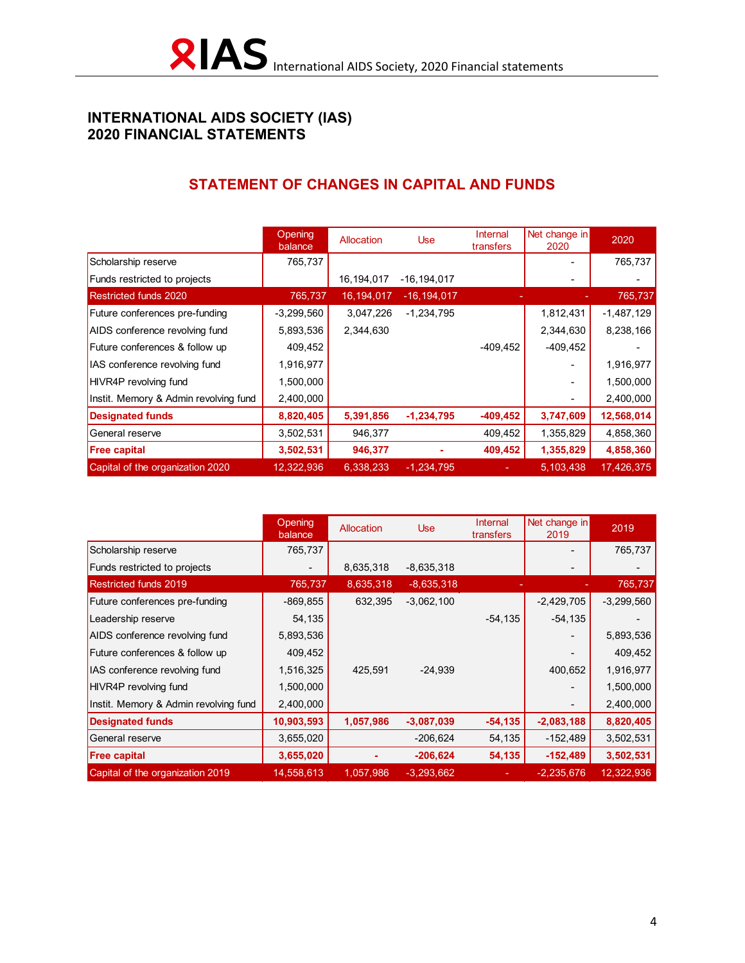# **INTERNATIONAL AIDS SOCIETY (IAS) 2020 FINANCIAL STATEMENTS**

|                                       | Opening<br>balance | Allocation   | <b>Use</b>      | Internal<br>transfers | Net change in<br>2020 | 2020         |
|---------------------------------------|--------------------|--------------|-----------------|-----------------------|-----------------------|--------------|
| Scholarship reserve                   | 765,737            |              |                 |                       |                       | 765,737      |
| Funds restricted to projects          |                    | 16, 194, 017 | $-16, 194, 017$ |                       |                       |              |
| <b>Restricted funds 2020</b>          | 765,737            | 16, 194, 017 | $-16, 194, 017$ |                       |                       | 765,737      |
| Future conferences pre-funding        | $-3,299,560$       | 3,047,226    | $-1,234,795$    |                       | 1,812,431             | $-1,487,129$ |
| AIDS conference revolving fund        | 5,893,536          | 2,344,630    |                 |                       | 2,344,630             | 8,238,166    |
| Future conferences & follow up        | 409,452            |              |                 | $-409,452$            | -409,452              |              |
| IAS conference revolving fund         | 1,916,977          |              |                 |                       |                       | 1,916,977    |
| HIVR4P revolving fund                 | 1,500,000          |              |                 |                       |                       | 1,500,000    |
| Instit. Memory & Admin revolving fund | 2,400,000          |              |                 |                       |                       | 2,400,000    |
| <b>Designated funds</b>               | 8,820,405          | 5,391,856    | $-1,234,795$    | $-409,452$            | 3,747,609             | 12,568,014   |
| General reserve                       | 3,502,531          | 946,377      |                 | 409,452               | 1,355,829             | 4,858,360    |
| <b>Free capital</b>                   | 3,502,531          | 946,377      |                 | 409,452               | 1,355,829             | 4,858,360    |
| Capital of the organization 2020      | 12,322,936         | 6,338,233    | $-1,234,795$    |                       | 5,103,438             | 17,426,375   |

# **STATEMENT OF CHANGES IN CAPITAL AND FUNDS**

|                                       | Opening<br>balance | <b>Allocation</b> | <b>Use</b>    | Internal<br>transfers | Net change in<br>2019 | 2019         |
|---------------------------------------|--------------------|-------------------|---------------|-----------------------|-----------------------|--------------|
| Scholarship reserve                   | 765,737            |                   |               |                       |                       | 765,737      |
| Funds restricted to projects          |                    | 8,635,318         | $-8,635,318$  |                       |                       |              |
| <b>Restricted funds 2019</b>          | 765,737            | 8,635,318         | $-8,635,318$  |                       |                       | 765,737      |
| Future conferences pre-funding        | $-869.855$         | 632,395           | $-3.062, 100$ |                       | $-2,429,705$          | $-3,299,560$ |
| Leadership reserve                    | 54,135             |                   |               | $-54,135$             | $-54, 135$            |              |
| AIDS conference revolving fund        | 5,893,536          |                   |               |                       |                       | 5,893,536    |
| Future conferences & follow up        | 409,452            |                   |               |                       |                       | 409,452      |
| IAS conference revolving fund         | 1,516,325          | 425,591           | $-24,939$     |                       | 400,652               | 1,916,977    |
| HIVR4P revolving fund                 | 1,500,000          |                   |               |                       |                       | 1,500,000    |
| Instit. Memory & Admin revolving fund | 2,400,000          |                   |               |                       |                       | 2,400,000    |
| <b>Designated funds</b>               | 10,903,593         | 1,057,986         | $-3,087,039$  | $-54,135$             | $-2,083,188$          | 8,820,405    |
| General reserve                       | 3,655,020          |                   | $-206,624$    | 54,135                | $-152,489$            | 3,502,531    |
| <b>Free capital</b>                   | 3,655,020          |                   | $-206,624$    | 54,135                | $-152,489$            | 3,502,531    |
| Capital of the organization 2019      | 14,558,613         | 1,057,986         | $-3,293,662$  |                       | $-2,235,676$          | 12,322,936   |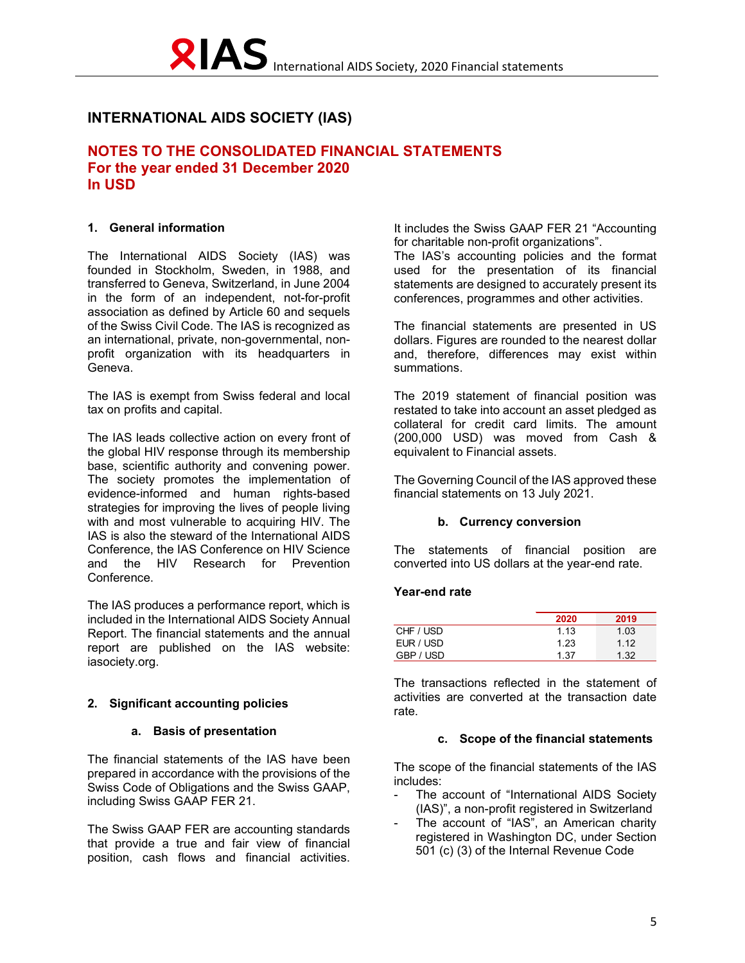# **INTERNATIONAL AIDS SOCIETY (IAS)**

# **NOTES TO THE CONSOLIDATED FINANCIAL STATEMENTS For the year ended 31 December 2020 In USD**

# **1. General information**

The International AIDS Society (IAS) was founded in Stockholm, Sweden, in 1988, and transferred to Geneva, Switzerland, in June 2004 in the form of an independent, not-for-profit association as defined by Article 60 and sequels of the Swiss Civil Code. The IAS is recognized as an international, private, non-governmental, nonprofit organization with its headquarters in Geneva.

The IAS is exempt from Swiss federal and local tax on profits and capital.

The IAS leads collective action on every front of the global HIV response through its membership base, scientific authority and convening power. The society promotes the implementation of evidence-informed and human rights-based strategies for improving the lives of people living with and most vulnerable to acquiring HIV. The IAS is also the steward of the International AIDS Conference, the IAS Conference on HIV Science and the HIV Research for Prevention Conference.

The IAS produces a performance report, which is included in the International AIDS Society Annual Report. The financial statements and the annual report are published on the IAS website: iasociety.org.

# **2. Significant accounting policies**

#### **a. Basis of presentation**

The financial statements of the IAS have been prepared in accordance with the provisions of the Swiss Code of Obligations and the Swiss GAAP, including Swiss GAAP FER 21.

The Swiss GAAP FER are accounting standards that provide a true and fair view of financial position, cash flows and financial activities.

It includes the Swiss GAAP FER 21 "Accounting for charitable non-profit organizations".

The IAS's accounting policies and the format used for the presentation of its financial statements are designed to accurately present its conferences, programmes and other activities.

The financial statements are presented in US dollars. Figures are rounded to the nearest dollar and, therefore, differences may exist within summations.

The 2019 statement of financial position was restated to take into account an asset pledged as collateral for credit card limits. The amount (200,000 USD) was moved from Cash & equivalent to Financial assets.

The Governing Council of the IAS approved these financial statements on 13 July 2021.

#### **b. Currency conversion**

The statements of financial position are converted into US dollars at the year-end rate.

#### **Year-end rate**

|           | 2020 | 2019  |
|-----------|------|-------|
| CHF / USD | 1 13 | 1.03  |
| EUR / USD | 1.23 | 1 1 2 |
| GBP / USD | 1.37 | 1.32  |

The transactions reflected in the statement of activities are converted at the transaction date rate.

#### **c. Scope of the financial statements**

The scope of the financial statements of the IAS includes:

- The account of "International AIDS Society (IAS)", a non-profit registered in Switzerland
- The account of "IAS", an American charity registered in Washington DC, under Section 501 (c) (3) of the Internal Revenue Code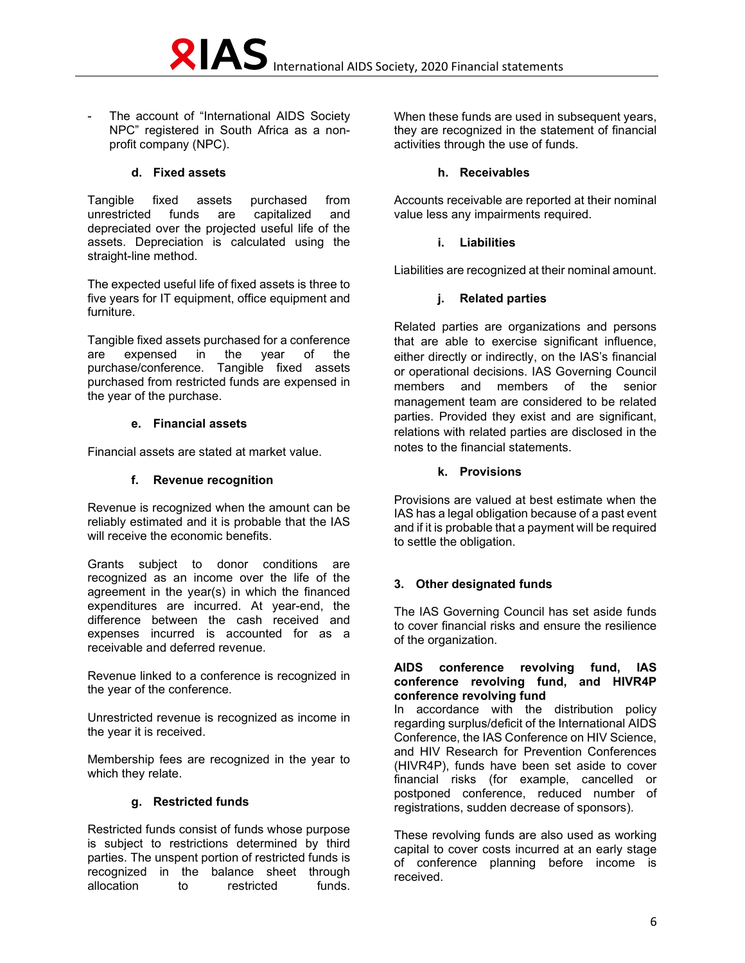The account of "International AIDS Society NPC" registered in South Africa as a nonprofit company (NPC).

# **d. Fixed assets**

Tangible fixed assets purchased from unrestricted funds are capitalized and depreciated over the projected useful life of the assets. Depreciation is calculated using the straight-line method.

The expected useful life of fixed assets is three to five years for IT equipment, office equipment and furniture.

Tangible fixed assets purchased for a conference are expensed in the year of the purchase/conference. Tangible fixed assets purchased from restricted funds are expensed in the year of the purchase.

# **e. Financial assets**

Financial assets are stated at market value.

# **f. Revenue recognition**

Revenue is recognized when the amount can be reliably estimated and it is probable that the IAS will receive the economic benefits.

Grants subject to donor conditions are recognized as an income over the life of the agreement in the year(s) in which the financed expenditures are incurred. At year-end, the difference between the cash received and expenses incurred is accounted for as a receivable and deferred revenue.

Revenue linked to a conference is recognized in the year of the conference.

Unrestricted revenue is recognized as income in the year it is received.

Membership fees are recognized in the year to which they relate.

# **g. Restricted funds**

Restricted funds consist of funds whose purpose is subject to restrictions determined by third parties. The unspent portion of restricted funds is recognized in the balance sheet through allocation to restricted funds.

When these funds are used in subsequent years, they are recognized in the statement of financial activities through the use of funds.

# **h. Receivables**

Accounts receivable are reported at their nominal value less any impairments required.

# **i. Liabilities**

Liabilities are recognized at their nominal amount.

# **j. Related parties**

Related parties are organizations and persons that are able to exercise significant influence, either directly or indirectly, on the IAS's financial or operational decisions. IAS Governing Council members and members of the senior management team are considered to be related parties. Provided they exist and are significant, relations with related parties are disclosed in the notes to the financial statements.

### **k. Provisions**

Provisions are valued at best estimate when the IAS has a legal obligation because of a past event and if it is probable that a payment will be required to settle the obligation.

# **3. Other designated funds**

The IAS Governing Council has set aside funds to cover financial risks and ensure the resilience of the organization.

#### **AIDS conference revolving fund, IAS conference revolving fund, and HIVR4P conference revolving fund**

In accordance with the distribution policy regarding surplus/deficit of the International AIDS Conference, the IAS Conference on HIV Science, and HIV Research for Prevention Conferences (HIVR4P), funds have been set aside to cover financial risks (for example, cancelled or postponed conference, reduced number of registrations, sudden decrease of sponsors).

These revolving funds are also used as working capital to cover costs incurred at an early stage of conference planning before income is received.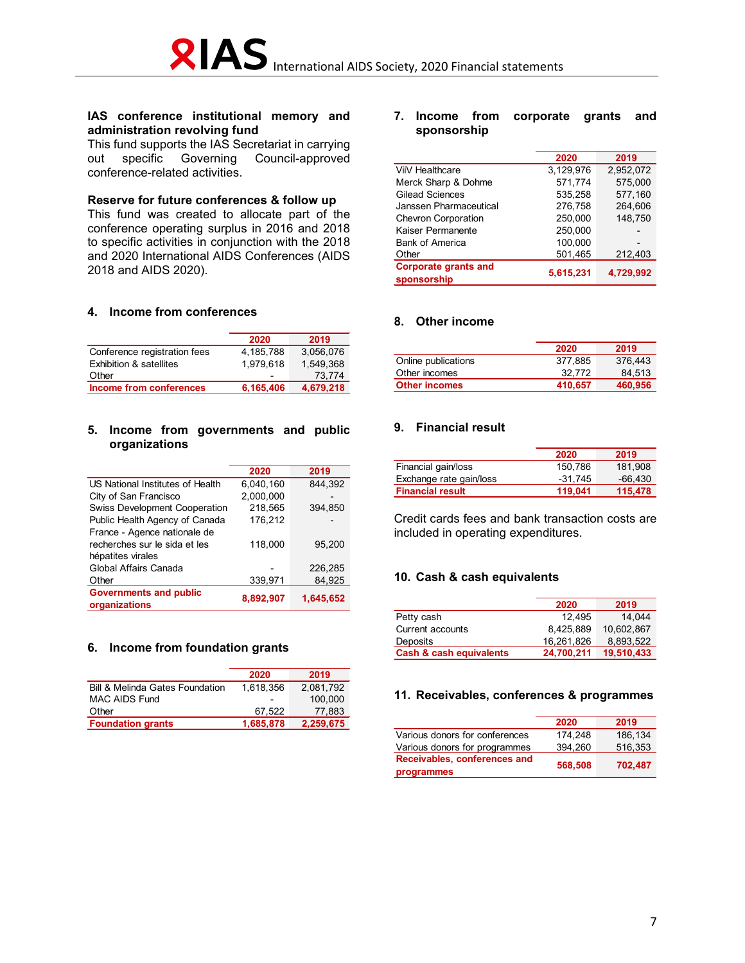### **IAS conference institutional memory and administration revolving fund**

This fund supports the IAS Secretariat in carrying<br>out specific Governing Council-approved out specific Governing conference-related activities.

# **Reserve for future conferences & follow up**

This fund was created to allocate part of the conference operating surplus in 2016 and 2018 to specific activities in conjunction with the 2018 and 2020 International AIDS Conferences (AIDS 2018 and AIDS 2020).

### **4. Income from conferences**

|                              | 2020           | 2019      |
|------------------------------|----------------|-----------|
| Conference registration fees | 4.185.788      | 3.056.076 |
| Exhibition & satellites      | 1.979.618      | 1.549.368 |
| Other                        | $\blacksquare$ | 73.774    |
| Income from conferences      | 6,165,406      | 4,679,218 |

#### **5. Income from governments and public organizations**

|                                      | 2020      | 2019      |
|--------------------------------------|-----------|-----------|
| US National Institutes of Health     | 6.040.160 | 844.392   |
| City of San Francisco                | 2,000,000 |           |
| <b>Swiss Development Cooperation</b> | 218,565   | 394,850   |
| Public Health Agency of Canada       | 176,212   |           |
| France - Agence nationale de         |           |           |
| recherches sur le sida et les        | 118,000   | 95.200    |
| hépatites virales                    |           |           |
| Global Affairs Canada                |           | 226,285   |
| Other                                | 339,971   | 84,925    |
| <b>Governments and public</b>        |           |           |
| organizations                        | 8,892,907 | 1,645,652 |

# **6. Income from foundation grants**

|                                            | 2020                     | 2019      |
|--------------------------------------------|--------------------------|-----------|
| <b>Bill &amp; Melinda Gates Foundation</b> | 1.618.356                | 2.081.792 |
| MAC AIDS Fund                              | $\overline{\phantom{0}}$ | 100.000   |
| Other                                      | 67.522                   | 77.883    |
| <b>Foundation grants</b>                   | 1,685,878                | 2,259,675 |

#### **7. Income from corporate grants and sponsorship**

|                             | 2020      | 2019      |
|-----------------------------|-----------|-----------|
| ViiV Healthcare             | 3,129,976 | 2.952.072 |
| Merck Sharp & Dohme         | 571,774   | 575,000   |
| <b>Gilead Sciences</b>      | 535,258   | 577,160   |
| Janssen Pharmaceutical      | 276,758   | 264,606   |
| <b>Chevron Corporation</b>  | 250.000   | 148,750   |
| Kaiser Permanente           | 250.000   |           |
| <b>Bank of America</b>      | 100,000   |           |
| Other                       | 501,465   | 212,403   |
| <b>Corporate grants and</b> | 5,615,231 | 4,729,992 |
| sponsorship                 |           |           |

### **8. Other income**

|                      | 2020    | 2019    |
|----------------------|---------|---------|
| Online publications  | 377.885 | 376.443 |
| Other incomes        | 32.772  | 84.513  |
| <b>Other incomes</b> | 410.657 | 460,956 |

#### **9. Financial result**

|                         | 2020      | 2019      |
|-------------------------|-----------|-----------|
| Financial gain/loss     | 150.786   | 181.908   |
| Exchange rate gain/loss | $-31.745$ | $-66.430$ |
| <b>Financial result</b> | 119.041   | 115,478   |

Credit cards fees and bank transaction costs are included in operating expenditures.

#### **10. Cash & cash equivalents**

|                         | 2020       | 2019       |
|-------------------------|------------|------------|
| Petty cash              | 12.495     | 14.044     |
| Current accounts        | 8.425.889  | 10.602.867 |
| Deposits                | 16.261.826 | 8.893.522  |
| Cash & cash equivalents | 24,700,211 | 19,510,433 |

#### **11. Receivables, conferences & programmes**

|                                            | 2020    | 2019    |
|--------------------------------------------|---------|---------|
| Various donors for conferences             | 174.248 | 186.134 |
| Various donors for programmes              | 394.260 | 516,353 |
| Receivables, conferences and<br>programmes | 568,508 | 702,487 |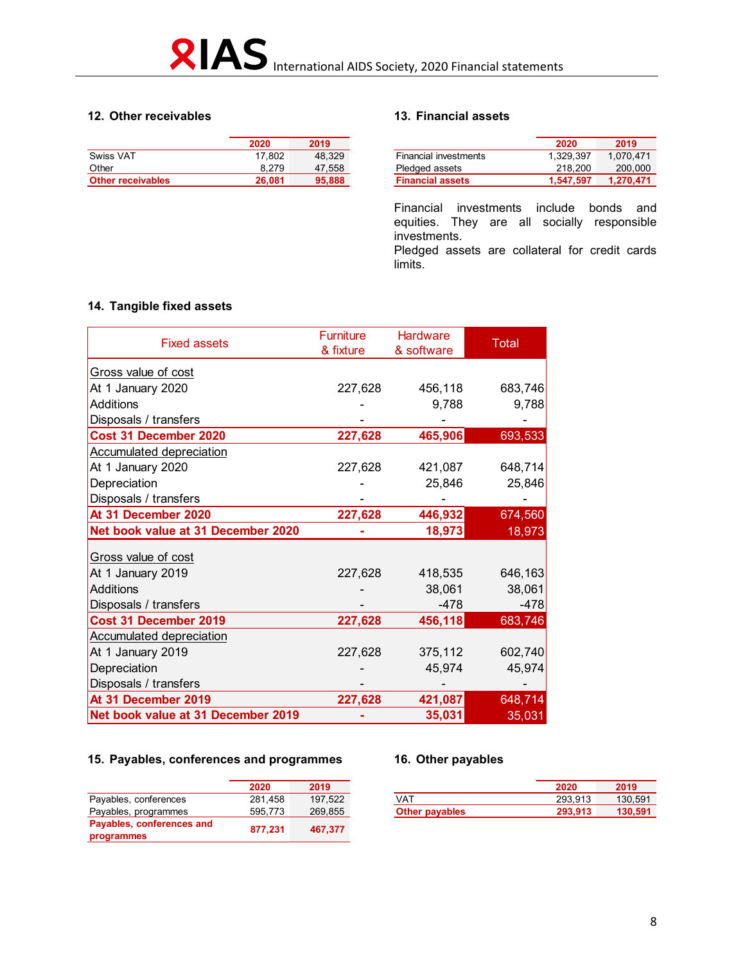# **12. Other receivables 13. Financial assets**

|                          | 2020   | 2019   |
|--------------------------|--------|--------|
| Swiss VAT                | 17.802 | 48.329 |
| Other                    | 8.279  | 47.558 |
| <b>Other receivables</b> | 26.081 | 95,888 |

|                              | 2020      | 2019      |
|------------------------------|-----------|-----------|
| <b>Financial investments</b> | 1.329.397 | 1.070.471 |
| Pledged assets               | 218.200   | 200,000   |
| <b>Financial assets</b>      | 1,547,597 | 1,270,471 |

Financial investments include bonds and equities. They are all socially responsible investments.

Pledged assets are collateral for credit cards limits.

# **14. Tangible fixed assets**

| <b>Fixed assets</b>                | <b>Furniture</b><br>& fixture | <b>Hardware</b><br>& software | Total   |
|------------------------------------|-------------------------------|-------------------------------|---------|
| Gross value of cost                |                               |                               |         |
| At 1 January 2020                  | 227,628                       | 456,118                       | 683,746 |
| <b>Additions</b>                   |                               | 9,788                         | 9,788   |
| Disposals / transfers              |                               |                               |         |
| Cost 31 December 2020              | 227,628                       | 465,906                       | 693,533 |
| <b>Accumulated depreciation</b>    |                               |                               |         |
| At 1 January 2020                  | 227,628                       | 421,087                       | 648,714 |
| Depreciation                       |                               | 25,846                        | 25,846  |
| Disposals / transfers              |                               |                               |         |
| At 31 December 2020                | 227,628                       | 446,932                       | 674,560 |
| Net book value at 31 December 2020 |                               | 18,973                        | 18,973  |
| Gross value of cost                |                               |                               |         |
| At 1 January 2019                  | 227,628                       | 418,535                       | 646,163 |
| <b>Additions</b>                   |                               | 38,061                        | 38,061  |
| Disposals / transfers              |                               | $-478$                        | $-478$  |
| Cost 31 December 2019              | 227,628                       | 456,118                       | 683,746 |
| <b>Accumulated depreciation</b>    |                               |                               |         |
| At 1 January 2019                  | 227,628                       | 375,112                       | 602,740 |
| Depreciation                       |                               | 45,974                        | 45,974  |
| Disposals / transfers              |                               |                               |         |
| At 31 December 2019                | 227,628                       | 421,087                       | 648,714 |
| Net book value at 31 December 2019 |                               | 35,031                        | 35,031  |

#### **15. Payables, conferences and programmes 16. Other payables**

|                           | 2020    | 2019    |
|---------------------------|---------|---------|
| Payables, conferences     | 281.458 | 197.522 |
| Payables, programmes      | 595.773 | 269,855 |
| Payables, conferences and | 877,231 | 467,377 |
| programmes                |         |         |

|                | 2020    | 2019    |
|----------------|---------|---------|
| VAT            | 293.913 | 130.591 |
| Other payables | 293,913 | 130,591 |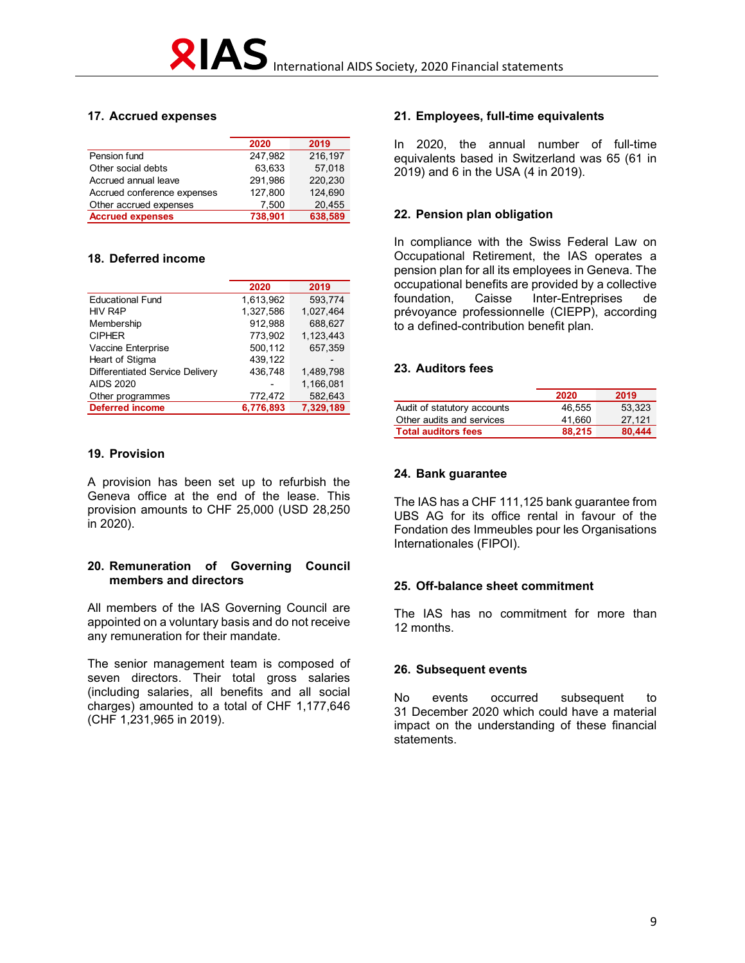# **17. Accrued expenses**

|                             | 2020    | 2019    |
|-----------------------------|---------|---------|
| Pension fund                | 247.982 | 216.197 |
| Other social debts          | 63.633  | 57.018  |
| Accrued annual leave        | 291.986 | 220.230 |
| Accrued conference expenses | 127,800 | 124.690 |
| Other accrued expenses      | 7,500   | 20,455  |
| <b>Accrued expenses</b>     | 738.901 | 638,589 |

# **18. Deferred income**

|                                        | 2020      | 2019      |
|----------------------------------------|-----------|-----------|
| <b>Educational Fund</b>                | 1,613,962 | 593.774   |
| HIV R4P                                | 1,327,586 | 1,027,464 |
| Membership                             | 912,988   | 688,627   |
| <b>CIPHER</b>                          | 773.902   | 1,123,443 |
| Vaccine Enterprise                     | 500,112   | 657,359   |
| Heart of Stigma                        | 439.122   |           |
| <b>Differentiated Service Delivery</b> | 436.748   | 1.489.798 |
| AIDS 2020                              |           | 1,166,081 |
| Other programmes                       | 772,472   | 582,643   |
| <b>Deferred income</b>                 | 6,776,893 | 7,329,189 |
|                                        |           |           |

# **19. Provision**

A provision has been set up to refurbish the Geneva office at the end of the lease. This provision amounts to CHF 25,000 (USD 28,250 in 2020).

# **20. Remuneration of Governing Council members and directors**

All members of the IAS Governing Council are appointed on a voluntary basis and do not receive any remuneration for their mandate.

The senior management team is composed of seven directors. Their total gross salaries (including salaries, all benefits and all social charges) amounted to a total of CHF 1,177,646 (CHF 1,231,965 in 2019).

# **21. Employees, full-time equivalents**

In 2020, the annual number of full-time equivalents based in Switzerland was 65 (61 in 2019) and 6 in the USA (4 in 2019).

# **22. Pension plan obligation**

In compliance with the Swiss Federal Law on Occupational Retirement, the IAS operates a pension plan for all its employees in Geneva. The occupational benefits are provided by a collective foundation, Caisse Inter-Entreprises de prévoyance professionnelle (CIEPP), according to a defined-contribution benefit plan.

# **23. Auditors fees**

|                             | 2020   | 2019   |
|-----------------------------|--------|--------|
| Audit of statutory accounts | 46.555 | 53.323 |
| Other audits and services   | 41.660 | 27.121 |
| <b>Total auditors fees</b>  | 88.215 | 80,444 |

# **24. Bank guarantee**

The IAS has a CHF 111,125 bank guarantee from UBS AG for its office rental in favour of the Fondation des Immeubles pour les Organisations Internationales (FIPOI).

# **25. Off-balance sheet commitment**

The IAS has no commitment for more than 12 months.

# **26. Subsequent events**

No events occurred subsequent to 31 December 2020 which could have a material impact on the understanding of these financial statements.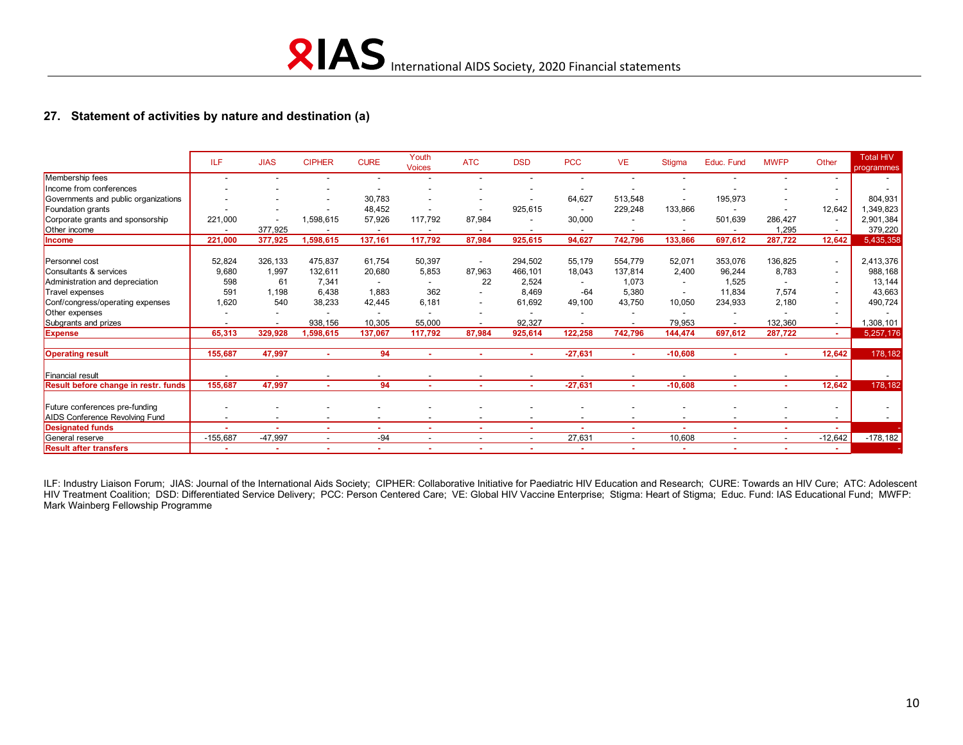### **27. Statement of activities by nature and destination (a)**

|                                      | ILF.                     | <b>JIAS</b>              | <b>CIPHER</b>            | <b>CURE</b>              | Youth<br><b>Voices</b>   | <b>ATC</b>               | <b>DSD</b>               | <b>PCC</b>               | <b>VE</b>                | <b>Stigma</b>            | Educ. Fund               | <b>MWFP</b>              | Other                    | <b>Total HIV</b><br>programmes |
|--------------------------------------|--------------------------|--------------------------|--------------------------|--------------------------|--------------------------|--------------------------|--------------------------|--------------------------|--------------------------|--------------------------|--------------------------|--------------------------|--------------------------|--------------------------------|
| Membership fees                      |                          |                          |                          |                          |                          |                          |                          |                          |                          |                          |                          |                          |                          |                                |
| Income from conferences              |                          |                          |                          |                          |                          |                          |                          |                          |                          |                          |                          |                          |                          |                                |
| Governments and public organizations |                          |                          |                          | 30,783                   |                          |                          |                          | 64,627                   | 513,548                  |                          | 195,973                  |                          |                          | 804,931                        |
| Foundation grants                    |                          |                          |                          | 48,452                   |                          |                          | 925,615                  | $\overline{\phantom{a}}$ | 229,248                  | 133,866                  |                          |                          | 12,642                   | ,349,823                       |
| Corporate grants and sponsorship     | 221.000                  |                          | 1,598,615                | 57,926                   | 117.792                  | 87,984                   |                          | 30,000                   |                          |                          | 501,639                  | 286,427                  | $\overline{a}$           | 2,901,384                      |
| Other income                         |                          | 377,925                  |                          |                          |                          |                          |                          |                          |                          |                          |                          | 1,295                    |                          | 379,220                        |
| <b>Income</b>                        | 221,000                  | 377,925                  | 1,598,615                | 137,161                  | 117,792                  | 87,984                   | 925,615                  | 94,627                   | 742,796                  | 133,866                  | 697,612                  | 287,722                  | 12,642                   | 5,435,358                      |
| <b>Personnel cost</b>                | 52,824                   | 326,133                  | 475.837                  | 61.754                   | 50,397                   | $\overline{\phantom{a}}$ | 294,502                  | 55.179                   | 554.779                  | 52,071                   | 353,076                  | 136,825                  | $\overline{a}$           | 2,413,376                      |
| Consultants & services               | 9,680                    | 1,997                    | 132,611                  | 20,680                   | 5,853                    | 87,963                   | 466,101                  | 18,043                   | 137,814                  | 2,400                    | 96,244                   | 8,783                    | $\overline{\phantom{a}}$ | 988,168                        |
| Administration and depreciation      | 598                      | 61                       | 7.341                    |                          |                          | 22                       | 2,524                    |                          | 1,073                    |                          | 1.525                    |                          |                          | 13,144                         |
| <b>Travel expenses</b>               | 591                      | 1.198                    | 6.438                    | 1.883                    | 362                      |                          | 8,469                    | $-64$                    | 5,380                    | $\overline{\phantom{a}}$ | 11,834                   | 7,574                    | $\overline{a}$           | 43,663                         |
| Conf/congress/operating expenses     | 1,620                    | 540                      | 38,233                   | 42.445                   | 6.181                    | $\sim$                   | 61,692                   | 49.100                   | 43.750                   | 10,050                   | 234,933                  | 2,180                    |                          | 490,724                        |
| Other expenses                       |                          |                          |                          |                          |                          |                          |                          |                          |                          |                          |                          |                          |                          |                                |
| Subgrants and prizes                 |                          | $\overline{\phantom{a}}$ | 938.156                  | 10,305                   | 55,000                   |                          | 92,327                   |                          |                          | 79,953                   |                          | 132,360                  |                          | ,308,101                       |
| <b>Expense</b>                       | 65,313                   | 329,928                  | 1,598,615                | 137,067                  | 117,792                  | 87,984                   | 925,614                  | 122,258                  | 742,796                  | 144,474                  | 697,612                  | 287,722                  | <b>Section</b>           | 5,257,176                      |
| <b>Operating result</b>              | 155,687                  | 47,997                   | A.                       | 94                       | $\sim$                   | ٠                        |                          | $-27,631$                | ×.                       | $-10,608$                | ×.                       | ٠                        | 12,642                   | 178,182                        |
| <b>Financial result</b>              |                          |                          |                          |                          |                          |                          |                          |                          |                          |                          |                          |                          |                          |                                |
| Result before change in restr. funds | 155,687                  | 47,997                   | ×.                       | 94                       |                          | ٠                        |                          | $-27,631$                | $\sim$                   | $-10,608$                | ×.                       |                          | 12,642                   | 178,182                        |
| Future conferences pre-funding       |                          |                          |                          |                          |                          |                          |                          |                          |                          |                          |                          |                          |                          |                                |
| AIDS Conference Revolving Fund       | $\overline{\phantom{0}}$ | $\overline{\phantom{a}}$ |                          | $\overline{\phantom{0}}$ | $\overline{\phantom{a}}$ | $\overline{\phantom{a}}$ |                          |                          | $\overline{\phantom{0}}$ | $\overline{\phantom{a}}$ | $\overline{\phantom{a}}$ |                          |                          |                                |
| <b>Designated funds</b>              | ×.                       | ٠                        | A.                       | <b>ум.</b>               | ٠                        | $\sim$                   | $\sim$                   |                          | $\sim$                   |                          | ٠                        | ۰                        |                          |                                |
| General reserve                      | $-155,687$               | $-47,997$                | $\overline{\phantom{a}}$ | $-94$                    | $\blacksquare$           | $\overline{\phantom{a}}$ | $\overline{\phantom{a}}$ | 27,631                   | $\overline{\phantom{a}}$ | 10,608                   | $\overline{\phantom{a}}$ | $\overline{\phantom{a}}$ | $-12,642$                | $-178,182$                     |
| <b>Result after transfers</b>        |                          |                          |                          |                          |                          |                          |                          |                          |                          |                          |                          |                          |                          |                                |

ILF: Industry Liaison Forum; JIAS: Journal of the International Aids Society; CIPHER: Collaborative Initiative for Paediatric HIV Education and Research; CURE: Towards an HIV Cure; ATC: Adolescent HIV Treatment Coalition; DSD: Differentiated Service Delivery; PCC: Person Centered Care; VE: Global HIV Vaccine Enterprise; Stigma: Heart of Stigma; Educ. Fund: IAS Educational Fund; MWFP: Mark Wainberg Fellowship Programme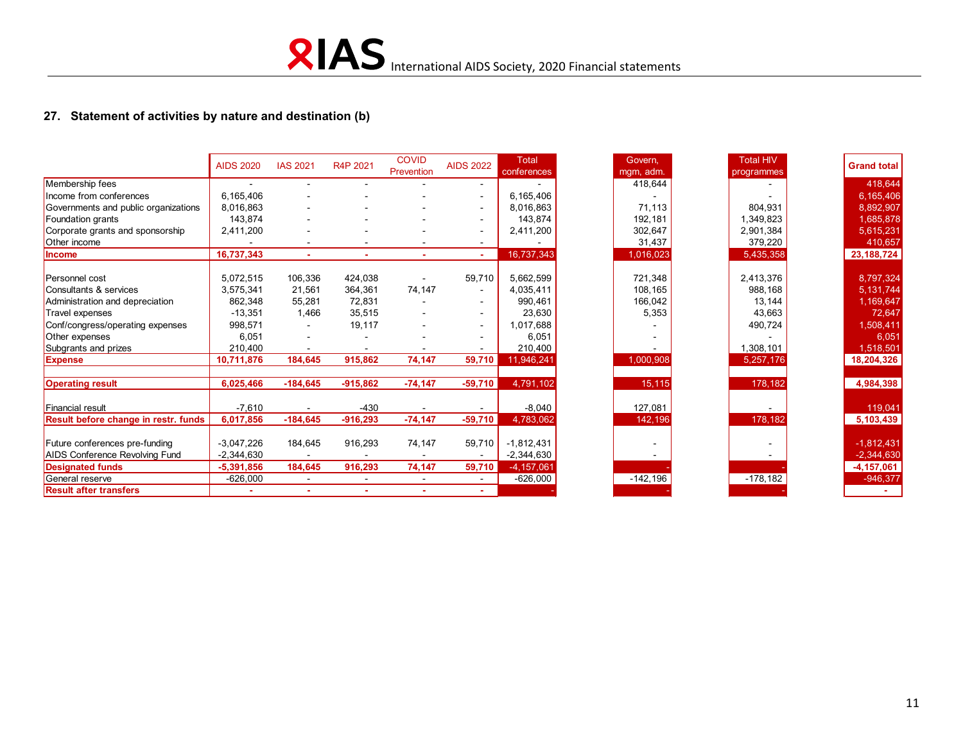# **27. Statement of activities by nature and destination (b)**

|                                       | <b>AIDS 2020</b> | <b>IAS 2021</b> | R4P 2021   | <b>COVID</b><br>Prevention | <b>AIDS 2022</b>         | <b>Total</b><br>conferences |
|---------------------------------------|------------------|-----------------|------------|----------------------------|--------------------------|-----------------------------|
|                                       |                  |                 |            |                            |                          |                             |
| Membership fees                       |                  |                 |            |                            | $\sim$                   |                             |
| Income from conferences               | 6.165.406        |                 |            |                            | $\sim$                   | 6.165.406                   |
| Governments and public organizations  | 8,016,863        |                 |            |                            | $\sim$                   | 8,016,863                   |
| Foundation grants                     | 143.874          |                 |            |                            | $\sim$                   | 143.874                     |
| Corporate grants and sponsorship      | 2,411,200        |                 |            |                            | $\overline{\phantom{a}}$ | 2,411,200                   |
| Other income                          |                  |                 |            |                            | $\sim$                   |                             |
| Income                                | 16,737,343       |                 |            |                            | $\sim$                   | 16,737,343                  |
|                                       |                  |                 |            |                            |                          |                             |
| Personnel cost                        | 5,072,515        | 106,336         | 424,038    | $\blacksquare$             | 59,710                   | 5,662,599                   |
| Consultants & services                | 3,575,341        | 21,561          | 364.361    | 74,147                     | $\sim$                   | 4,035,411                   |
| Administration and depreciation       | 862.348          | 55,281          | 72.831     |                            | $\blacksquare$           | 990.461                     |
| Travel expenses                       | $-13,351$        | 1,466           | 35,515     |                            | $\sim$                   | 23,630                      |
| Conf/congress/operating expenses      | 998.571          |                 | 19.117     |                            | $\sim$                   | 1.017.688                   |
| Other expenses                        | 6,051            |                 |            |                            | $\overline{\phantom{a}}$ | 6,051                       |
| Subgrants and prizes                  | 210.400          |                 |            |                            |                          | 210,400                     |
| <b>Expense</b>                        | 10,711,876       | 184,645         | 915,862    | 74,147                     | 59,710                   | 11,946,241                  |
|                                       |                  |                 |            |                            |                          |                             |
| <b>Operating result</b>               | 6,025,466        | $-184,645$      | $-915,862$ | $-74,147$                  | $-59,710$                | 4,791,102                   |
| <b>Financial result</b>               | $-7,610$         |                 | $-430$     |                            | $\overline{\phantom{a}}$ | $-8,040$                    |
| Result before change in restr. funds  | 6,017,856        | $-184.645$      | $-916,293$ | $-74,147$                  | $-59,710$                | 4,783,062                   |
|                                       |                  |                 |            |                            |                          |                             |
| Future conferences pre-funding        | $-3.047.226$     | 184,645         | 916,293    | 74,147                     | 59.710                   | $-1.812.431$                |
| <b>AIDS Conference Revolving Fund</b> | $-2.344.630$     |                 |            |                            | $\sim$                   | $-2,344,630$                |
| <b>Designated funds</b>               | $-5,391,856$     | 184,645         | 916,293    | 74,147                     | 59,710                   | $-4, 157, 061$              |
| General reserve                       | $-626,000$       | $\sim$          |            |                            | $\sim$                   | $-626,000$                  |
| Result after transfers                |                  |                 | ٠          |                            | $\sim$                   |                             |

| <b>Grand total</b> | <b>Total HIV</b> | Govern,    |           |
|--------------------|------------------|------------|-----------|
|                    | programmes       |            | mgm, adm. |
| 418,644            |                  | 418,644    |           |
| 6,165,406          |                  |            |           |
| 8,892,907          | 804,931          | 71.113     |           |
| 1,685,878          | 1,349,823        | 192,181    |           |
| 5,615,231          | 2,901,384        | 302.647    |           |
| 410,657            | 379,220          | 31,437     |           |
| 23, 188, 724       | 5,435,358        | 1,016,023  |           |
|                    |                  |            |           |
| 8,797,324          | 2,413,376        | 721,348    |           |
| 5, 131, 744        | 988,168          | 108,165    |           |
| 1,169,647          | 13.144           | 166.042    |           |
| 72,647             | 43,663           | 5,353      |           |
| 1,508,411          | 490,724          |            |           |
| 6,051              |                  |            |           |
| 1,518,501          | 1,308,101        |            |           |
| 18,204,326         | 5,257,176        | 1,000,908  |           |
|                    |                  |            |           |
| 4,984,398          | 178,182          | 15,115     |           |
|                    |                  |            |           |
| 119,041            |                  | 127,081    |           |
| 5,103,439          | 178,182          | 142,196    |           |
|                    |                  |            |           |
| $-1,812,431$       |                  |            |           |
| $-2,344,630$       |                  |            |           |
| $-4,157,061$       |                  |            |           |
| $-946,377$         | $-178,182$       | $-142,196$ |           |
|                    |                  |            |           |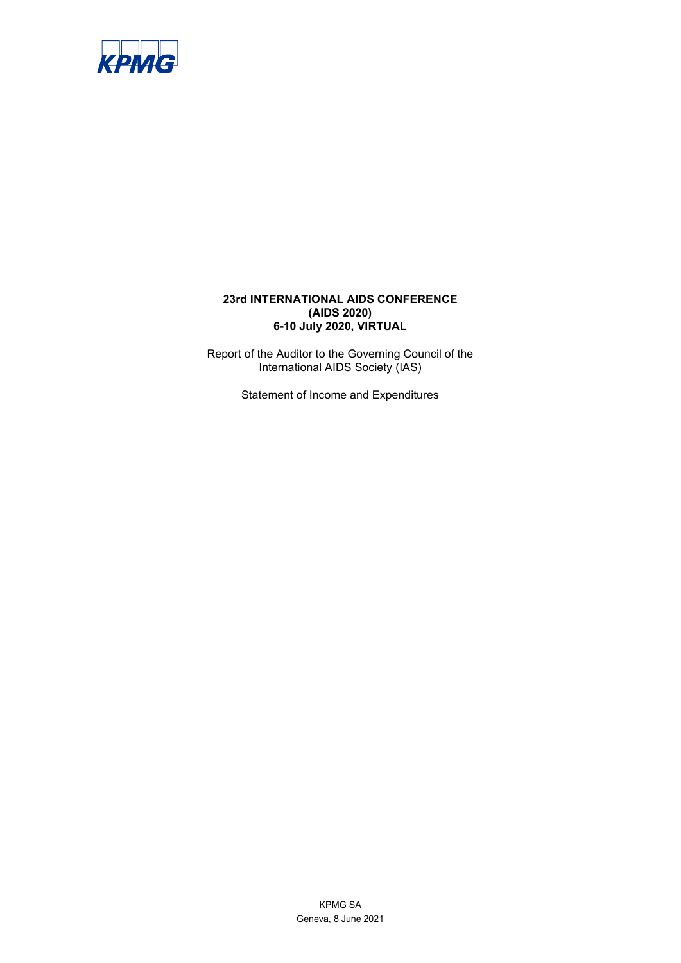

Report of the Auditor to the Governing Council of the International AIDS Society (IAS)

Statement of Income and Expenditures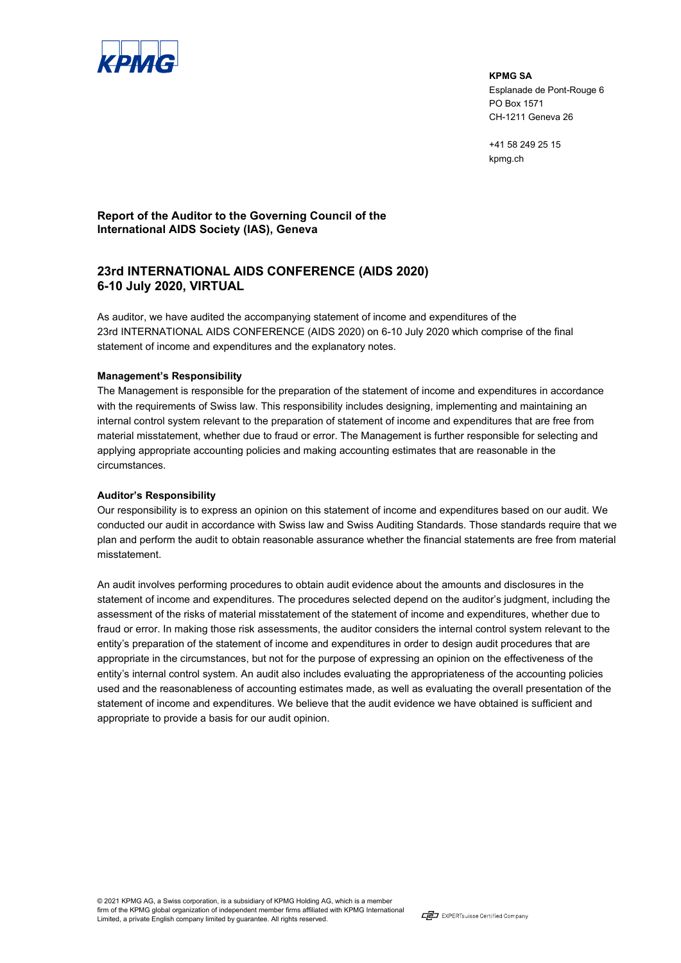

**KPMG SA** Esplanade de Pont-Rouge 6 PO Box 1571 CH-1211 Geneva 26

+41 58 249 25 15 kpmg.ch

## **Report of the Auditor to the Governing Council of the International AIDS Society (IAS), Geneva**

# **23rd INTERNATIONAL AIDS CONFERENCE (AIDS 2020) 6-10 July 2020, VIRTUAL**

As auditor, we have audited the accompanying statement of income and expenditures of the 23rd INTERNATIONAL AIDS CONFERENCE (AIDS 2020) on 6-10 July 2020 which comprise of the final statement of income and expenditures and the explanatory notes.

#### **Management's Responsibility**

The Management is responsible for the preparation of the statement of income and expenditures in accordance with the requirements of Swiss law. This responsibility includes designing, implementing and maintaining an internal control system relevant to the preparation of statement of income and expenditures that are free from material misstatement, whether due to fraud or error. The Management is further responsible for selecting and applying appropriate accounting policies and making accounting estimates that are reasonable in the circumstances.

#### **Auditor's Responsibility**

Our responsibility is to express an opinion on this statement of income and expenditures based on our audit. We conducted our audit in accordance with Swiss law and Swiss Auditing Standards. Those standards require that we plan and perform the audit to obtain reasonable assurance whether the financial statements are free from material misstatement.

An audit involves performing procedures to obtain audit evidence about the amounts and disclosures in the statement of income and expenditures. The procedures selected depend on the auditor's judgment, including the assessment of the risks of material misstatement of the statement of income and expenditures, whether due to fraud or error. In making those risk assessments, the auditor considers the internal control system relevant to the entity's preparation of the statement of income and expenditures in order to design audit procedures that are appropriate in the circumstances, but not for the purpose of expressing an opinion on the effectiveness of the entity's internal control system. An audit also includes evaluating the appropriateness of the accounting policies used and the reasonableness of accounting estimates made, as well as evaluating the overall presentation of the statement of income and expenditures. We believe that the audit evidence we have obtained is sufficient and appropriate to provide a basis for our audit opinion.

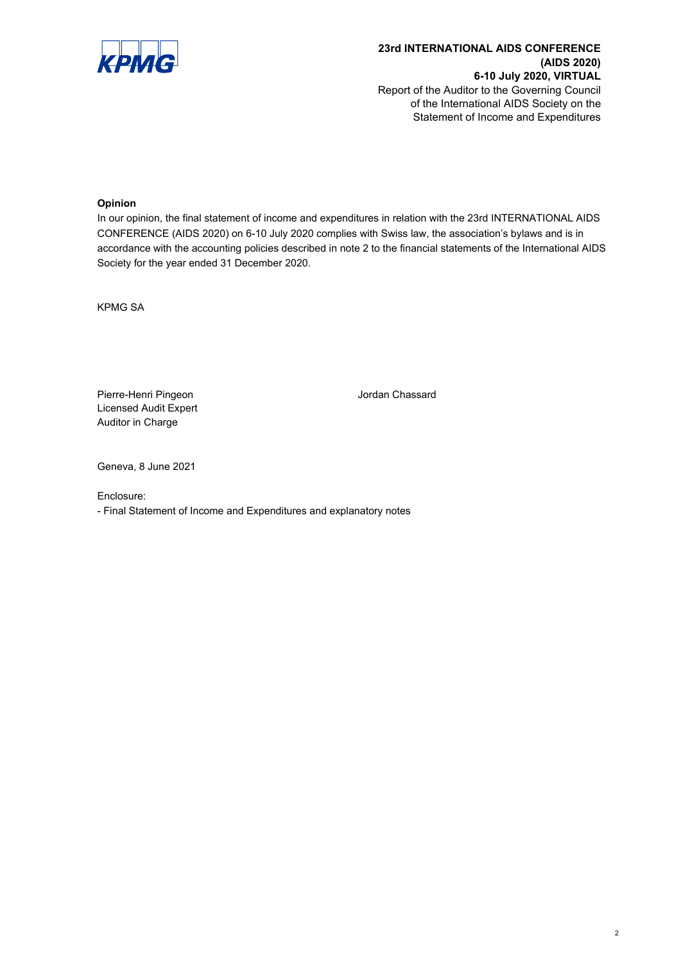

Report of the Auditor to the Governing Council of the International AIDS Society on the Statement of Income and Expenditures

#### **Opinion**

In our opinion, the final statement of income and expenditures in relation with the 23rd INTERNATIONAL AIDS CONFERENCE (AIDS 2020) on 6-10 July 2020 complies with Swiss law, the association's bylaws and is in accordance with the accounting policies described in note 2 to the financial statements of the International AIDS Society for the year ended 31 December 2020.

KPMG SA

Pierre-Henri Pingeon and The Termin Chassard Licensed Audit Expert Auditor in Charge

Geneva, 8 June 2021

Enclosure:

- Final Statement of Income and Expenditures and explanatory notes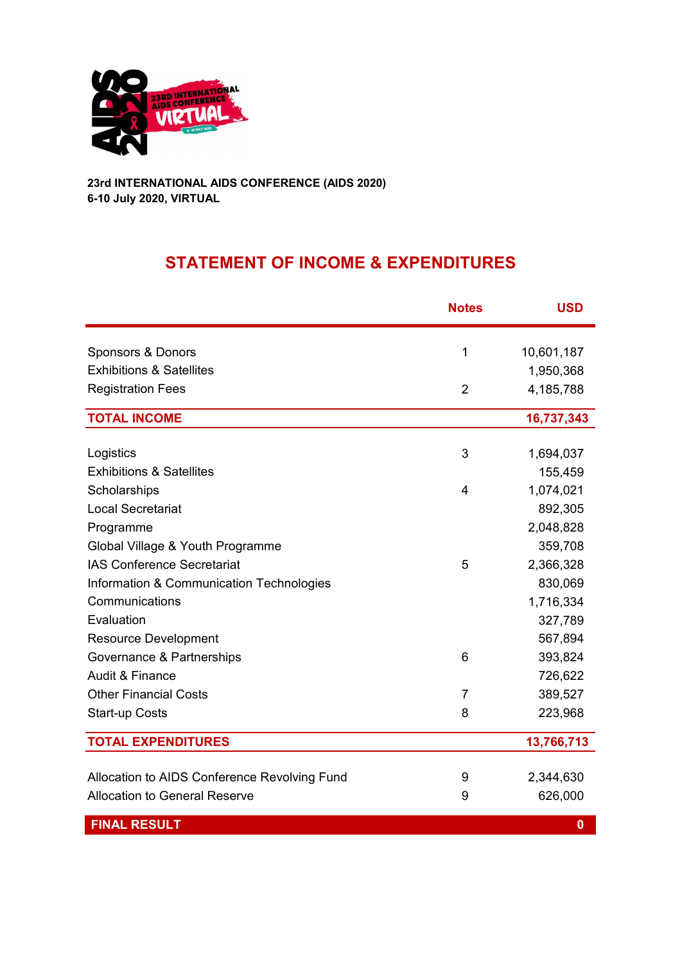

# **STATEMENT OF INCOME & EXPENDITURES**

|                                              | <b>Notes</b>   | <b>USD</b> |
|----------------------------------------------|----------------|------------|
| <b>Sponsors &amp; Donors</b>                 | 1              | 10,601,187 |
| <b>Exhibitions &amp; Satellites</b>          |                | 1,950,368  |
| <b>Registration Fees</b>                     | $\overline{2}$ | 4,185,788  |
| <b>TOTAL INCOME</b>                          |                | 16,737,343 |
| Logistics                                    | 3              | 1,694,037  |
| <b>Exhibitions &amp; Satellites</b>          |                | 155,459    |
| Scholarships                                 | 4              | 1,074,021  |
| <b>Local Secretariat</b>                     |                | 892,305    |
| Programme                                    |                | 2,048,828  |
| Global Village & Youth Programme             |                | 359,708    |
| <b>IAS Conference Secretariat</b>            | 5              | 2,366,328  |
| Information & Communication Technologies     |                | 830,069    |
| Communications                               |                | 1,716,334  |
| Evaluation                                   |                | 327,789    |
| <b>Resource Development</b>                  |                | 567,894    |
| Governance & Partnerships                    | 6              | 393,824    |
| Audit & Finance                              |                | 726,622    |
| <b>Other Financial Costs</b>                 | 7              | 389,527    |
| <b>Start-up Costs</b>                        | 8              | 223,968    |
| <b>TOTAL EXPENDITURES</b>                    |                | 13,766,713 |
| Allocation to AIDS Conference Revolving Fund | 9              | 2,344,630  |
| <b>Allocation to General Reserve</b>         | 9              | 626,000    |
|                                              |                |            |
| <b>FINAL RESULT</b>                          |                | $\bf{0}$   |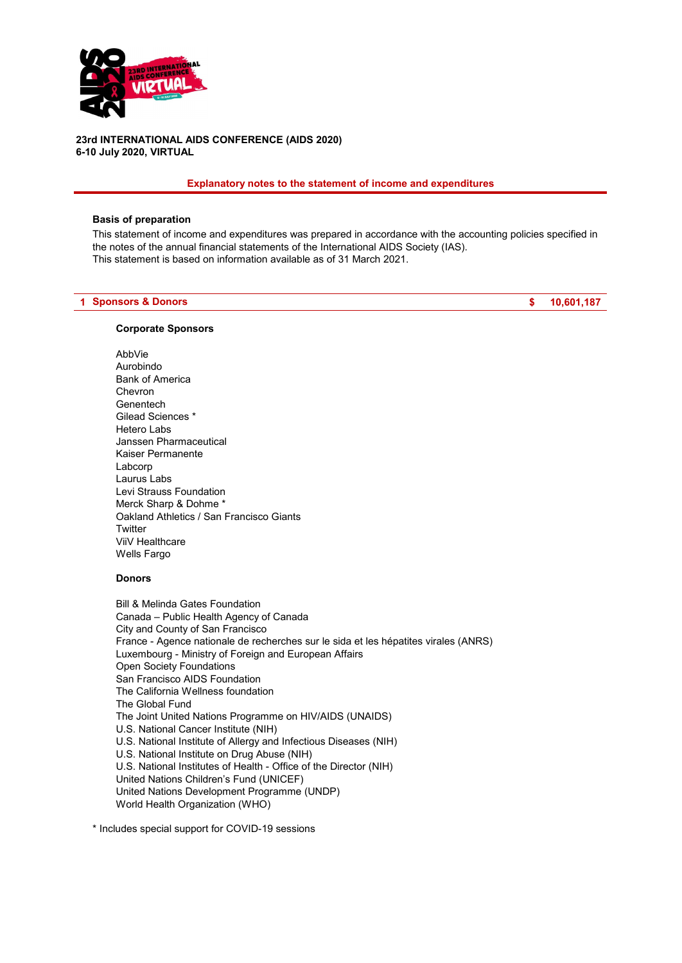

#### **Explanatory notes to the statement of income and expenditures**

### **Basis of preparation**

This statement of income and expenditures was prepared in accordance with the accounting policies specified in the notes of the annual financial statements of the International AIDS Society (IAS). This statement is based on information available as of 31 March 2021.

#### **1 \$ 10,601,187 Sponsors & Donors**

#### **Corporate Sponsors**

AbbVie Aurobindo Bank of America Chevron **Genentech** Gilead Sciences \* Hetero Labs Janssen Pharmaceutical Kaiser Permanente Labcorp Laurus Labs Levi Strauss Foundation Merck Sharp & Dohme \* Oakland Athletics / San Francisco Giants **Twitter** ViiV Healthcare Wells Fargo

#### **Donors**

Bill & Melinda Gates Foundation Canada – Public Health Agency of Canada City and County of San Francisco France - Agence nationale de recherches sur le sida et les hépatites virales (ANRS) Luxembourg - Ministry of Foreign and European Affairs Open Society Foundations San Francisco AIDS Foundation The California Wellness foundation The Global Fund The Joint United Nations Programme on HIV/AIDS (UNAIDS) U.S. National Cancer Institute (NIH) U.S. National Institute of Allergy and Infectious Diseases (NIH) U.S. National Institute on Drug Abuse (NIH) U.S. National Institutes of Health - Office of the Director (NIH) United Nations Children's Fund (UNICEF) United Nations Development Programme (UNDP) World Health Organization (WHO)

\* Includes special support for COVID-19 sessions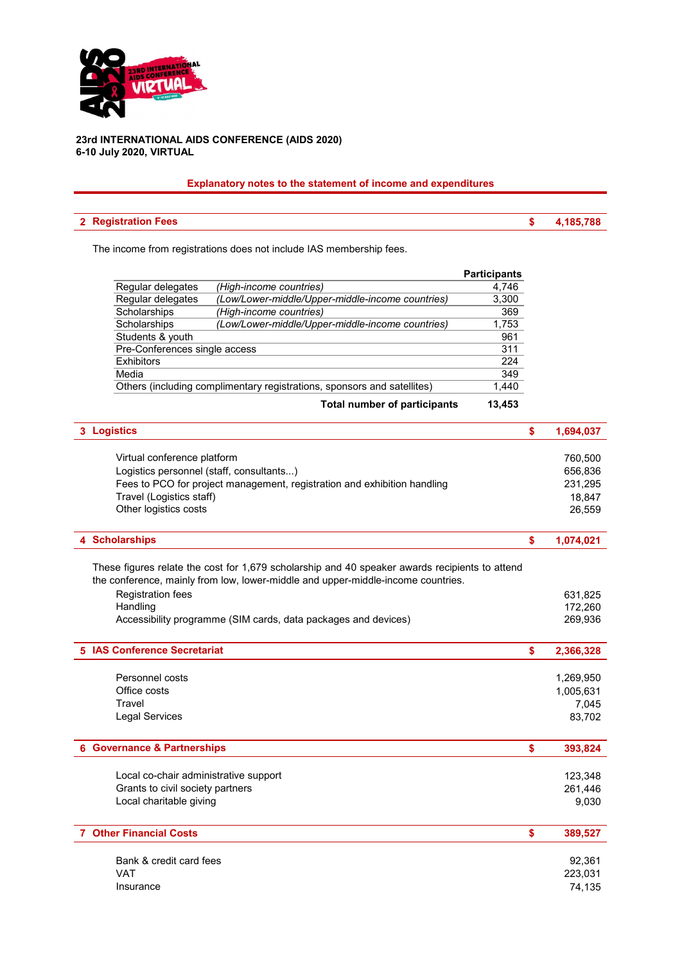

### **Explanatory notes to the statement of income and expenditures**

#### **2 \$ 4,185,788 Registration Fees**

The income from registrations does not include IAS membership fees.

|                                                                         |                                                  | <b>Participants</b> |
|-------------------------------------------------------------------------|--------------------------------------------------|---------------------|
| Regular delegates                                                       | (High-income countries)                          | 4,746               |
| Regular delegates                                                       | (Low/Lower-middle/Upper-middle-income countries) | 3,300               |
| Scholarships                                                            | (High-income countries)                          | 369                 |
| Scholarships                                                            | (Low/Lower-middle/Upper-middle-income countries) | 1,753               |
| Students & youth                                                        |                                                  | 961                 |
| Pre-Conferences single access                                           |                                                  | 311                 |
| <b>Exhibitors</b>                                                       |                                                  | 224                 |
| Media                                                                   |                                                  | 349                 |
| Others (including complimentary registrations, sponsors and satellites) |                                                  | 1,440               |
|                                                                         | <b>Total number of participants</b>              | 13,453              |

| 3 Logistics                                                                                                                                                                        | \$<br>1,694,037        |
|------------------------------------------------------------------------------------------------------------------------------------------------------------------------------------|------------------------|
| Virtual conference platform                                                                                                                                                        |                        |
| Logistics personnel (staff, consultants)                                                                                                                                           | 760,500<br>656,836     |
| Fees to PCO for project management, registration and exhibition handling                                                                                                           | 231,295                |
| Travel (Logistics staff)                                                                                                                                                           | 18,847                 |
| Other logistics costs                                                                                                                                                              | 26,559                 |
|                                                                                                                                                                                    |                        |
| 4 Scholarships                                                                                                                                                                     | \$<br>1,074,021        |
| These figures relate the cost for 1,679 scholarship and 40 speaker awards recipients to attend<br>the conference, mainly from low, lower-middle and upper-middle-income countries. |                        |
| <b>Registration fees</b>                                                                                                                                                           | 631,825                |
| Handling                                                                                                                                                                           | 172,260                |
| Accessibility programme (SIM cards, data packages and devices)                                                                                                                     | 269,936                |
| <b>5 IAS Conference Secretariat</b>                                                                                                                                                | \$<br>2,366,328        |
| Personnel costs                                                                                                                                                                    |                        |
| Office costs                                                                                                                                                                       | 1,269,950<br>1,005,631 |
| Travel                                                                                                                                                                             | 7,045                  |
| <b>Legal Services</b>                                                                                                                                                              | 83,702                 |
|                                                                                                                                                                                    |                        |
| <b>Governance &amp; Partnerships</b><br>6.                                                                                                                                         | \$<br>393,824          |
| Local co-chair administrative support                                                                                                                                              | 123,348                |
| Grants to civil society partners                                                                                                                                                   | 261,446                |
| Local charitable giving                                                                                                                                                            | 9,030                  |
|                                                                                                                                                                                    |                        |
| <b>Other Financial Costs</b><br>7.                                                                                                                                                 | \$<br>389,527          |
| Bank & credit card fees                                                                                                                                                            | 92,361                 |
| <b>VAT</b>                                                                                                                                                                         | 223,031                |
| Insurance                                                                                                                                                                          | 74,135                 |